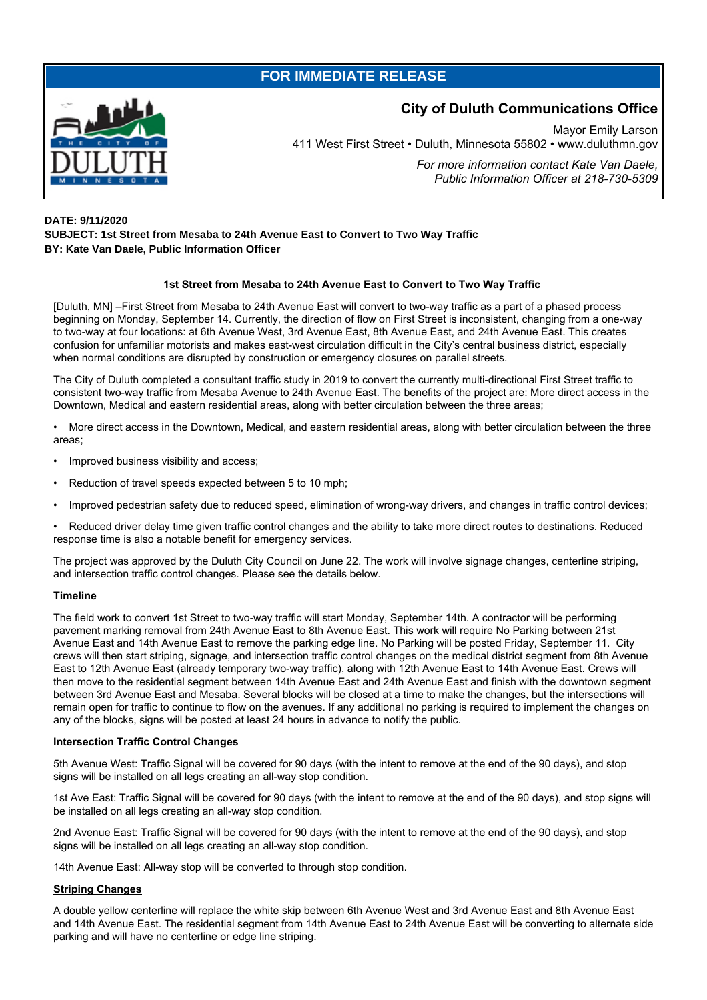## **FOR IMMEDIATE RELEASE**



# **City of Duluth Communications Office**

Mayor Emily Larson 411 West First Street • Duluth, Minnesota 55802 • www.duluthmn.gov

> *For more information contact Kate Van Daele, Public Information Officer at 218-730-5309*

## **DATE: 9/11/2020 SUBJECT: 1st Street from Mesaba to 24th Avenue East to Convert to Two Way Traffic BY: Kate Van Daele, Public Information Officer**

## **1st Street from Mesaba to 24th Avenue East to Convert to Two Way Traffic**

[Duluth, MN] –First Street from Mesaba to 24th Avenue East will convert to two-way traffic as a part of a phased process beginning on Monday, September 14. Currently, the direction of flow on First Street is inconsistent, changing from a one-way to two-way at four locations: at 6th Avenue West, 3rd Avenue East, 8th Avenue East, and 24th Avenue East. This creates confusion for unfamiliar motorists and makes east-west circulation difficult in the City's central business district, especially when normal conditions are disrupted by construction or emergency closures on parallel streets.

The City of Duluth completed a consultant traffic study in 2019 to convert the currently multi-directional First Street traffic to consistent two-way traffic from Mesaba Avenue to 24th Avenue East. The benefits of the project are: More direct access in the Downtown, Medical and eastern residential areas, along with better circulation between the three areas;

• More direct access in the Downtown, Medical, and eastern residential areas, along with better circulation between the three areas;

- Improved business visibility and access;
- Reduction of travel speeds expected between 5 to 10 mph;
- Improved pedestrian safety due to reduced speed, elimination of wrong-way drivers, and changes in traffic control devices;

• Reduced driver delay time given traffic control changes and the ability to take more direct routes to destinations. Reduced response time is also a notable benefit for emergency services.

The project was approved by the Duluth City Council on June 22. The work will involve signage changes, centerline striping, and intersection traffic control changes. Please see the details below.

#### **Timeline**

The field work to convert 1st Street to two-way traffic will start Monday, September 14th. A contractor will be performing pavement marking removal from 24th Avenue East to 8th Avenue East. This work will require No Parking between 21st Avenue East and 14th Avenue East to remove the parking edge line. No Parking will be posted Friday, September 11. City crews will then start striping, signage, and intersection traffic control changes on the medical district segment from 8th Avenue East to 12th Avenue East (already temporary two-way traffic), along with 12th Avenue East to 14th Avenue East. Crews will then move to the residential segment between 14th Avenue East and 24th Avenue East and finish with the downtown segment between 3rd Avenue East and Mesaba. Several blocks will be closed at a time to make the changes, but the intersections will remain open for traffic to continue to flow on the avenues. If any additional no parking is required to implement the changes on any of the blocks, signs will be posted at least 24 hours in advance to notify the public.

#### **Intersection Traffic Control Changes**

5th Avenue West: Traffic Signal will be covered for 90 days (with the intent to remove at the end of the 90 days), and stop signs will be installed on all legs creating an all-way stop condition.

1st Ave East: Traffic Signal will be covered for 90 days (with the intent to remove at the end of the 90 days), and stop signs will be installed on all legs creating an all-way stop condition.

2nd Avenue East: Traffic Signal will be covered for 90 days (with the intent to remove at the end of the 90 days), and stop signs will be installed on all legs creating an all-way stop condition.

14th Avenue East: All-way stop will be converted to through stop condition.

#### **Striping Changes**

A double yellow centerline will replace the white skip between 6th Avenue West and 3rd Avenue East and 8th Avenue East and 14th Avenue East. The residential segment from 14th Avenue East to 24th Avenue East will be converting to alternate side parking and will have no centerline or edge line striping.